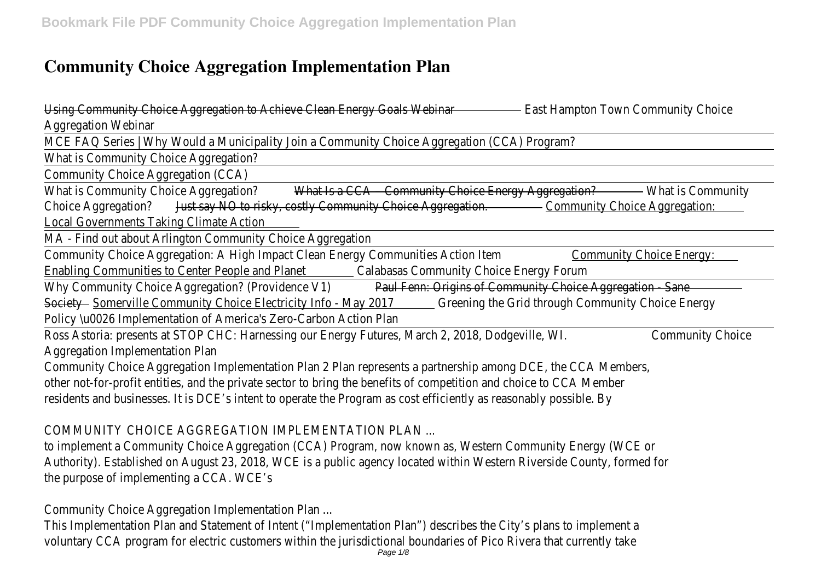# **Community Choice Aggregation Implementation Plan**

Using Community Choice Aggregation to Achieve Clean Energy Goalst Mabinaton Town Community Choice Aggregation Webinar

MCE FAQ Series | Why Would a Municipality Join a Community Choice Aggregation (CCA) Program?

What is Community Choice Aggregation?

Community Choice Aggregation (CCA)

What is Community Choice Aggres and The CCA – Community Choice Energy Agg Meation Community Choice Aggregation<sup>3</sup> Say NO to risky, costly Community Choice Agaregation. Choice Aggregation: Local Governments Taking Climate Action

MA - Find out about Arlington Community Choice Aggregation

Community Choice Aggregation: A High Impact Clean Energy Communit@ Samantion Item Community Choice Energy: Enabling Communities to Center People anCaPlanets Community Choice Energy Forum

Why Community Choice Aggregation? (Providende Vinh: Origins of Community Choice Aggregation - Sane Societ Somerville Community Choice Electricity Info - Green 2017 and through Community Choice Energy Policy \u0026 Implementation of America's Zero-Carbon Action Plan

Ross Astoria: presents at STOP CHC: Harnessing our Energy Futures, March 2, 2008, modity CleoMA. Aggregation Implementation Plan

Community Choice Aggregation Implementation Plan 2 Plan represents a partnership among DCE, the CO other not-for-profit entities, and the private sector to bring the benefits of competition and choice to residents and businesses. It is DCE's intent to operate the Program as cost efficiently as reasonably pos

COMMUNITY CHOICE AGGREGATION IMPLEMENTATION PLAN

to implement a Community Choice Aggregation (CCA) Program, now known as, Western Community Ene Authority). Established on August 23, 2018, WCE is a public agency located within Western Riverside C the purpose of implementing a CCA. WCE's

Community Choice Aggregation Implementation Plan ...

This Implementation Plan and Statement of Intent ("Implementation Plan") describes the City's plans to voluntary CCA program for electric customers within the jurisdictional boundaries of Pico Rivera that c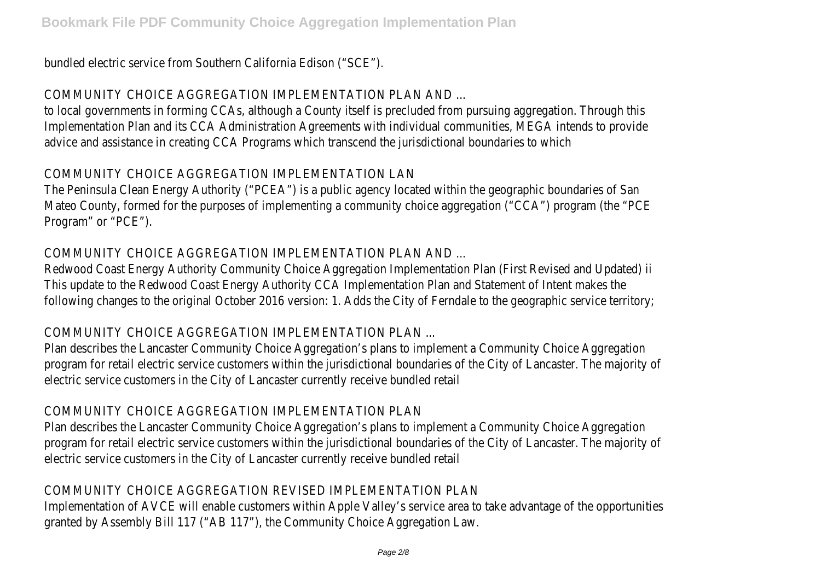bundled electric service from Southern California Edison ("SCE").

COMMUNITY CHOICE AGGREGATION IMPLEMENTATION PLAN AND ...

to local governments in forming CCAs, although a County itself is precluded from pursuing aggregation. Implementation Plan and its CCA Administration Agreements with individual communities, MEGA intends advice and assistance in creating CCA Programs which transcend the jurisdictional boundaries to which

### COMMUNITY CHOICE AGGREGATION IMPLEMENTATION LAN

The Peninsula Clean Energy Authority ("PCEA") is a public agency located within the geographic boundar Mateo County, formed for the purposes of implementing a community choice aggregation ("CCA") progr Program" or "PCE").

## COMMUNITY CHOICE AGGREGATION IMPLEMENTATION PLAN AND ...

Redwood Coast Energy Authority Community Choice Aggregation Implementation Plan (First Revised and This update to the Redwood Coast Energy Authority CCA Implementation Plan and Statement of Intent following changes to the original October 2016 version: 1. Adds the City of Ferndale to the geographic

#### COMMUNITY CHOICE AGGREGATION IMPLEMENTATION PLAN ...

Plan describes the Lancaster Community Choice Aggregation's plans to implement a Community Choice program for retail electric service customers within the jurisdictional boundaries of the City of Lancast electric service customers in the City of Lancaster currently receive bundled retail

#### COMMUNITY CHOICE AGGREGATION IMPLEMENTATION PLAN

Plan describes the Lancaster Community Choice Aggregation's plans to implement a Community Choice program for retail electric service customers within the jurisdictional boundaries of the City of Lancast electric service customers in the City of Lancaster currently receive bundled retail

## COMMUNITY CHOICE AGGREGATION REVISED IMPLEMENTATION PLAN

Implementation of AVCE will enable customers within Apple Valley's service area to take advantage of the opportunities granted by Assembly Bill 117 ("AB 117"), the Community Choice Aggregation Law.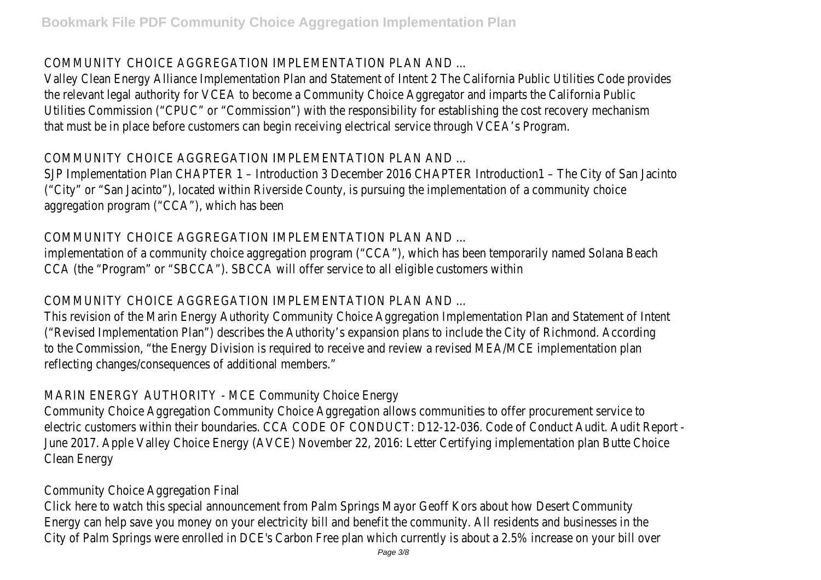COMMUNITY CHOICE AGGREGATION IMPLEMENTATION PLAN AND ...

Valley Clean Energy Alliance Implementation Plan and Statement of Intent 2 The California Public Utilities the relevant legal authority for VCEA to become a Community Choice Aggregator and imparts the California Public Utilities Commission ("CPUC" or "Commission") with the responsibility for establishing the cost recovery that must be in place before customers can begin receiving electrical service through VCEA's Program.

COMMUNITY CHOICE AGGREGATION IMPLEMENTATION PLAN AND ...

SJP Implementation Plan CHAPTER 1 – Introduction 3 December 2016 CHAPTER Introduction1 – The City ("City" or "San Jacinto"), located within Riverside County, is pursuing the implementation of a communit aggregation program ("CCA"), which has been

COMMUNITY CHOICE AGGREGATION IMPLEMENTATION PLAN AND ...

implementation of a community choice aggregation program ("CCA"), which has been temporarily named CCA (the "Program" or "SBCCA"). SBCCA will offer service to all eligible customers within

COMMUNITY CHOICE AGGREGATION IMPLEMENTATION PLAN AND ...

This revision of the Marin Energy Authority Community Choice Aggregation Implementation Plan and Sta ("Revised Implementation Plan") describes the Authority's expansion plans to include the City of Richmo to the Commission, "the Energy Division is required to receive and review a revised MEA/MCE implemen reflecting changes/consequences of additional members."

MARIN ENERGY AUTHORITY - MCE Community Choice Energy

Community Choice Aggregation Community Choice Aggregation allows communities to offer procurement electric customers within their boundaries. CCA CODE OF CONDUCT: D12-12-036. Code of Conduct Audit June 2017. Apple Valley Choice Energy (AVCE) November 22, 2016: Letter Certifying implementation pla Clean Energy

Community Choice Aggregation Final

Click here to watch this special announcement from Palm Springs Mayor Geoff Kors about how Desert Energy can help save you money on your electricity bill and benefit the community. All residents and bu City of Palm Springs were enrolled in DCE's Carbon Free plan which currently is about a 2.5% increase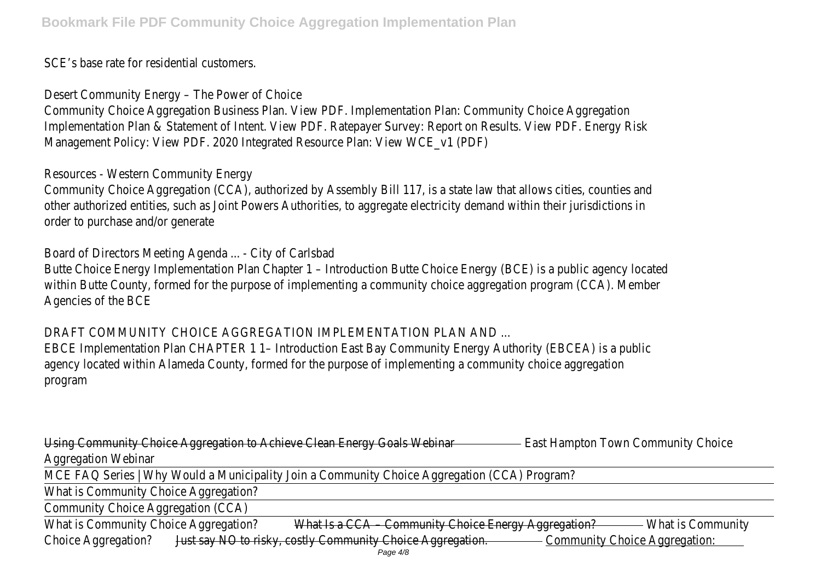SCE's base rate for residential customers.

Desert Community Energy – The Power of Choice

Community Choice Aggregation Business Plan. View PDF. Implementation Plan: Community Choice Aggree Implementation Plan & Statement of Intent. View PDF. Ratepayer Survey: Report on Results. View PDF. Management Policy: View PDF. 2020 Integrated Resource Plan: View WCE\_v1 (PDF)

Resources - Western Community Energy

Community Choice Aggregation (CCA), authorized by Assembly Bill 117, is a state law that allows cities, other authorized entities, such as Joint Powers Authorities, to aggregate electricity demand within the order to purchase and/or generate

Board of Directors Meeting Agenda ... - City of Carlsbad

Butte Choice Energy Implementation Plan Chapter 1 – Introduction Butte Choice Energy (BCE) is a public within Butte County, formed for the purpose of implementing a community choice aggregation program Agencies of the BCE

DRAFT COMMUNITY CHOICE AGGREGATION IMPLEMENTATION PLAN AND ...

EBCE Implementation Plan CHAPTER 1 1– Introduction East Bay Community Energy Authority (EBCEA) is agency located within Alameda County, formed for the purpose of implementing a community choice ag program

Using Community Choice Aggregation to Achieve Clean Energy Goalst Mabinoton Town Community Choice Aggregation Webinar

MCE FAQ Series | Why Would a Municipality Join a Community Choice Aggregation (CCA) Program?

What is Community Choice Aggregation?

Community Choice Aggregation (CCA)

What is Community Choice Aggres at the Acca – Community Choice Energy Agg Mention Community Choice Aggregation? Say NO to risky, costly Community Choice Aggregation. Choice Aggregation: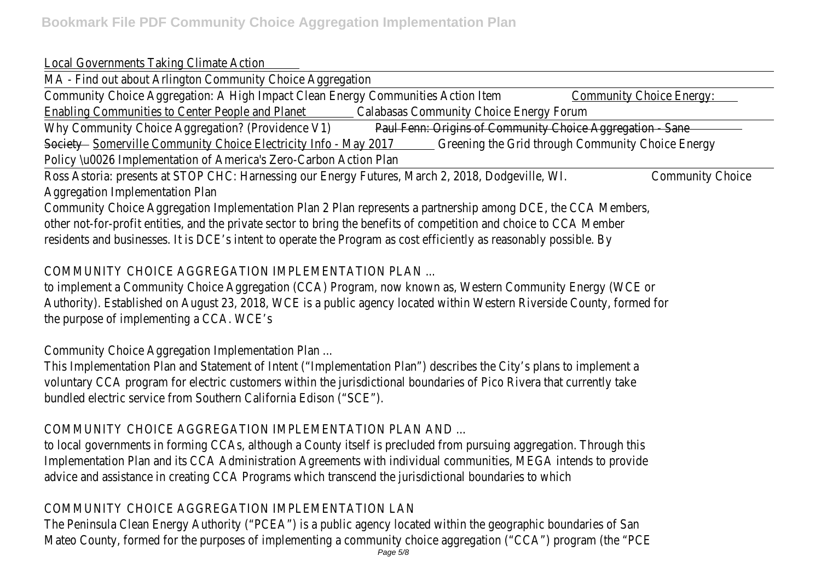#### Local Governments Taking Climate Action

MA - Find out about Arlington Community Choice Aggregation

Community Choice Aggregation: A High Impact Clean Energy Communit@ Samarunity Lembice Energy: Enabling Communities to Center People and a Palanet Community Choice Energy Forum

Why Community Choice Aggregation? (Providende Van: Origins of Community Choice Aggregation - Sane Societ Somerville Community Choice Electricity Info - Green 2017 The Grid through Community Choice Energy Policy \u0026 Implementation of America's Zero-Carbon Action Plan

Ross Astoria: presents at STOP CHC: Harnessing our Energy Futures, March 2, 2008, modity CleoMA. Aggregation Implementation Plan

Community Choice Aggregation Implementation Plan 2 Plan represents a partnership among DCE, the CO other not-for-profit entities, and the private sector to bring the benefits of competition and choice to residents and businesses. It is DCE's intent to operate the Program as cost efficiently as reasonably possible.

COMMUNITY CHOICE AGGREGATION IMPLEMENTATION PLAN ...

to implement a Community Choice Aggregation (CCA) Program, now known as, Western Community Ene Authority). Established on August 23, 2018, WCE is a public agency located within Western Riverside C the purpose of implementing a CCA. WCE's

Community Choice Aggregation Implementation Plan ...

This Implementation Plan and Statement of Intent ("Implementation Plan") describes the City's plans to voluntary CCA program for electric customers within the jurisdictional boundaries of Pico Rivera that currently bundled electric service from Southern California Edison ("SCE").

COMMUNITY CHOICE AGGREGATION IMPLEMENTATION PLAN AND ...

to local governments in forming CCAs, although a County itself is precluded from pursuing aggregation. Implementation Plan and its CCA Administration Agreements with individual communities, MEGA intends advice and assistance in creating CCA Programs which transcend the jurisdictional boundaries to which

## COMMUNITY CHOICE AGGREGATION IMPLEMENTATION LAN

The Peninsula Clean Energy Authority ("PCEA") is a public agency located within the geographic boundaries of San Mateo County, formed for the purposes of implementing a community choice aggregation ("CCA") progr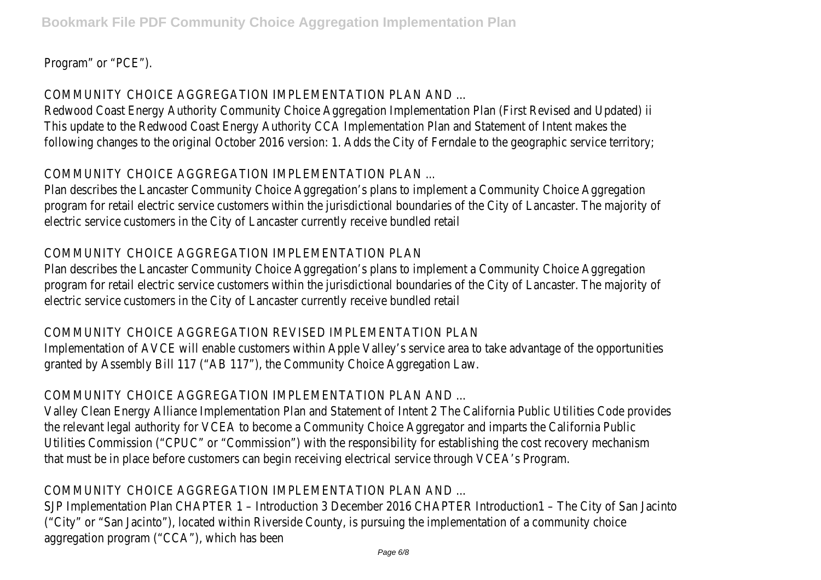Program" or "PCE").

COMMUNITY CHOICE AGGREGATION IMPLEMENTATION PLAN AND ...

Redwood Coast Energy Authority Community Choice Aggregation Implementation Plan (First Revised and This update to the Redwood Coast Energy Authority CCA Implementation Plan and Statement of Intent following changes to the original October 2016 version: 1. Adds the City of Ferndale to the geographic

COMMUNITY CHOICE AGGREGATION IMPLEMENTATION PLAN ...

Plan describes the Lancaster Community Choice Aggregation's plans to implement a Community Choice program for retail electric service customers within the jurisdictional boundaries of the City of Lancast electric service customers in the City of Lancaster currently receive bundled retail

## COMMUNITY CHOICE AGGREGATION IMPLEMENTATION PLAN

Plan describes the Lancaster Community Choice Aggregation's plans to implement a Community Choice program for retail electric service customers within the jurisdictional boundaries of the City of Lancast electric service customers in the City of Lancaster currently receive bundled retail

## COMMUNITY CHOICE AGGREGATION REVISED IMPLEMENTATION PLAN

Implementation of AVCE will enable customers within Apple Valley's service area to take advantage of the granted by Assembly Bill 117 ("AB 117"), the Community Choice Aggregation Law.

## COMMUNITY CHOICE AGGREGATION IMPLEMENTATION PLAN AND ...

Valley Clean Energy Alliance Implementation Plan and Statement of Intent 2 The California Public Utilities the relevant legal authority for VCEA to become a Community Choice Aggregator and imparts the California Utilities Commission ("CPUC" or "Commission") with the responsibility for establishing the cost recovery that must be in place before customers can begin receiving electrical service through VCEA's Program.

## COMMUNITY CHOICE AGGREGATION IMPLEMENTATION PLAN AND ...

SJP Implementation Plan CHAPTER 1 – Introduction 3 December 2016 CHAPTER Introduction1 – The City ("City" or "San Jacinto"), located within Riverside County, is pursuing the implementation of a communit aggregation program ("CCA"), which has been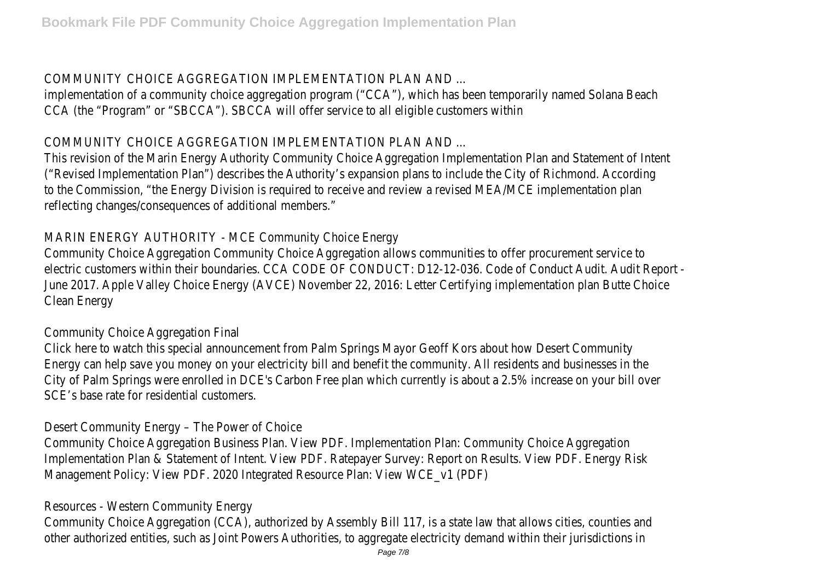COMMUNITY CHOICE AGGREGATION IMPLEMENTATION PLAN AND ...

implementation of a community choice aggregation program ("CCA"), which has been temporarily named CCA (the "Program" or "SBCCA"). SBCCA will offer service to all eligible customers within

COMMUNITY CHOICE AGGREGATION IMPLEMENTATION PLAN AND ...

This revision of the Marin Energy Authority Community Choice Aggregation Implementation Plan and Statement of ("Revised Implementation Plan") describes the Authority's expansion plans to include the City of Richmo to the Commission, "the Energy Division is required to receive and review a revised MEA/MCE implemen reflecting changes/consequences of additional members."

MARIN ENERGY AUTHORITY - MCE Community Choice Energy

Community Choice Aggregation Community Choice Aggregation allows communities to offer procurement electric customers within their boundaries. CCA CODE OF CONDUCT: D12-12-036. Code of Conduct Audit June 2017. Apple Valley Choice Energy (AVCE) November 22, 2016: Letter Certifying implementation pla Clean Energy

Community Choice Aggregation Final

Click here to watch this special announcement from Palm Springs Mayor Geoff Kors about how Desert Energy can help save you money on your electricity bill and benefit the community. All residents and bu City of Palm Springs were enrolled in DCE's Carbon Free plan which currently is about a 2.5% increase SCE's base rate for residential customers.

Desert Community Energy – The Power of Choice

Community Choice Aggregation Business Plan. View PDF. Implementation Plan: Community Choice Aggree Implementation Plan & Statement of Intent. View PDF. Ratepayer Survey: Report on Results. View PDF. Management Policy: View PDF. 2020 Integrated Resource Plan: View WCE\_v1 (PDF)

Resources - Western Community Energy

Community Choice Aggregation (CCA), authorized by Assembly Bill 117, is a state law that allows cities, other authorized entities, such as Joint Powers Authorities, to aggregate electricity demand within the